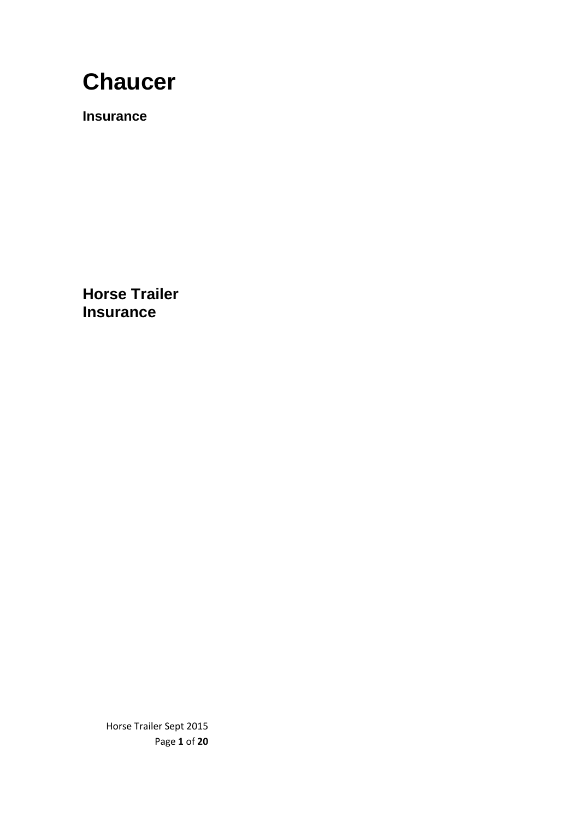# **Chaucer**

**Insurance**

**Horse Trailer Insurance**

> Horse Trailer Sept 2015 Page **1** of **20**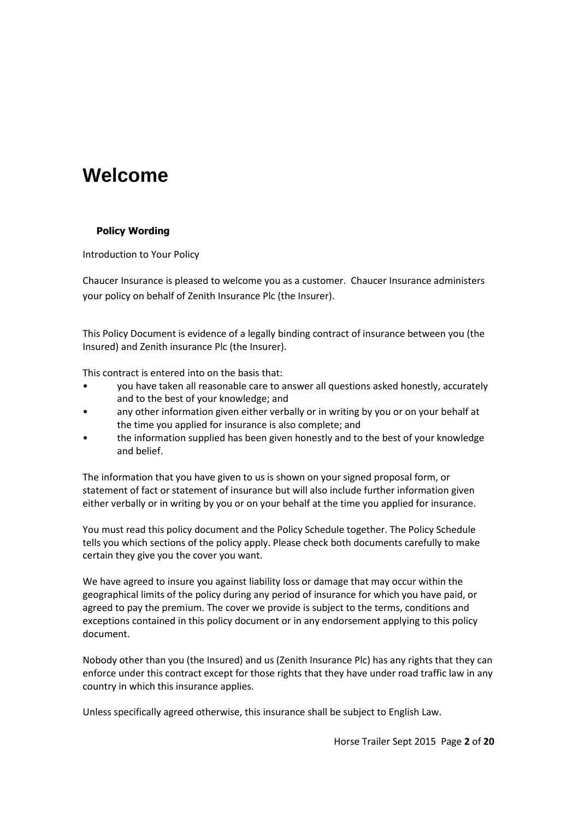## **Welcome**

#### **Policy Wording**

Introduction to Your Policy

Chaucer Insurance is pleased to welcome you as a customer. Chaucer Insurance administers your policy on behalf of Zenith Insurance Plc (the Insurer).

This Policy Document is evidence of a legally binding contract of insurance between you (the Insured) and Zenith insurance Plc (the Insurer).

This contract is entered into on the basis that:

- you have taken all reasonable care to answer all questions asked honestly, accurately and to the best of your knowledge; and
- any other information given either verbally or in writing by you or on your behalf at the time you applied for insurance is also complete; and
- the information supplied has been given honestly and to the best of your knowledge and belief.

The information that you have given to us is shown on your signed proposal form, or statement of fact or statement of insurance but will also include further information given either verbally or in writing by you or on your behalf at the time you applied for insurance.

You must read this policy document and the Policy Schedule together. The Policy Schedule tells you which sections of the policy apply. Please check both documents carefully to make certain they give you the cover you want.

We have agreed to insure you against liability loss or damage that may occur within the geographical limits of the policy during any period of insurance for which you have paid, or agreed to pay the premium. The cover we provide is subject to the terms, conditions and exceptions contained in this policy document or in any endorsement applying to this policy document.

Nobody other than you (the Insured) and us (Zenith Insurance Plc) has any rights that they can enforce under this contract except for those rights that they have under road traffic law in any country in which this insurance applies.

Unless specifically agreed otherwise, this insurance shall be subject to English Law.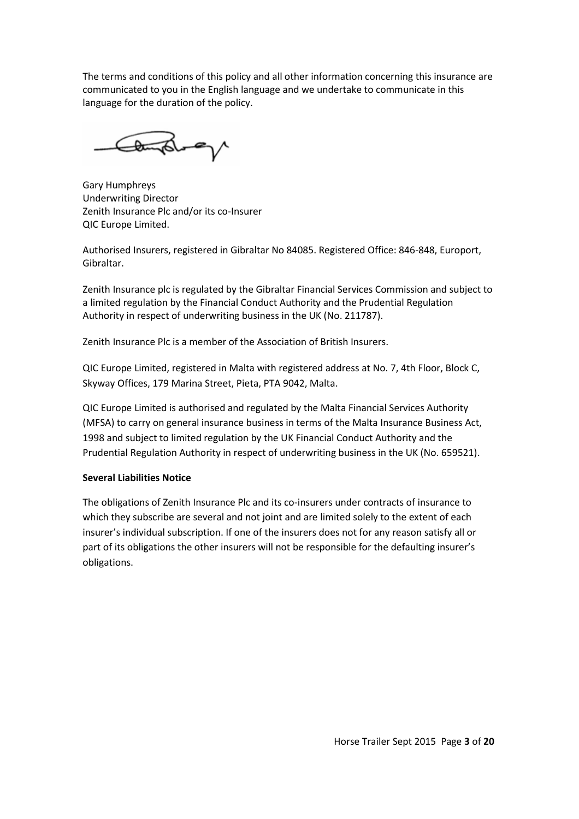The terms and conditions of this policy and all other information concerning this insurance are communicated to you in the English language and we undertake to communicate in this language for the duration of the policy.

Consider

Gary Humphreys Underwriting Director Zenith Insurance Plc and/or its co-Insurer QIC Europe Limited.

Authorised Insurers, registered in Gibraltar No 84085. Registered Office: 846-848, Europort, Gibraltar.

Zenith Insurance plc is regulated by the Gibraltar Financial Services Commission and subject to a limited regulation by the Financial Conduct Authority and the Prudential Regulation Authority in respect of underwriting business in the UK (No. 211787).

Zenith Insurance Plc is a member of the Association of British Insurers.

QIC Europe Limited, registered in Malta with registered address at No. 7, 4th Floor, Block C, Skyway Offices, 179 Marina Street, Pieta, PTA 9042, Malta.

QIC Europe Limited is authorised and regulated by the Malta Financial Services Authority (MFSA) to carry on general insurance business in terms of the Malta Insurance Business Act, 1998 and subject to limited regulation by the UK Financial Conduct Authority and the Prudential Regulation Authority in respect of underwriting business in the UK (No. 659521).

#### **Several Liabilities Notice**

The obligations of Zenith Insurance Plc and its co-insurers under contracts of insurance to which they subscribe are several and not joint and are limited solely to the extent of each insurer's individual subscription. If one of the insurers does not for any reason satisfy all or part of its obligations the other insurers will not be responsible for the defaulting insurer's obligations.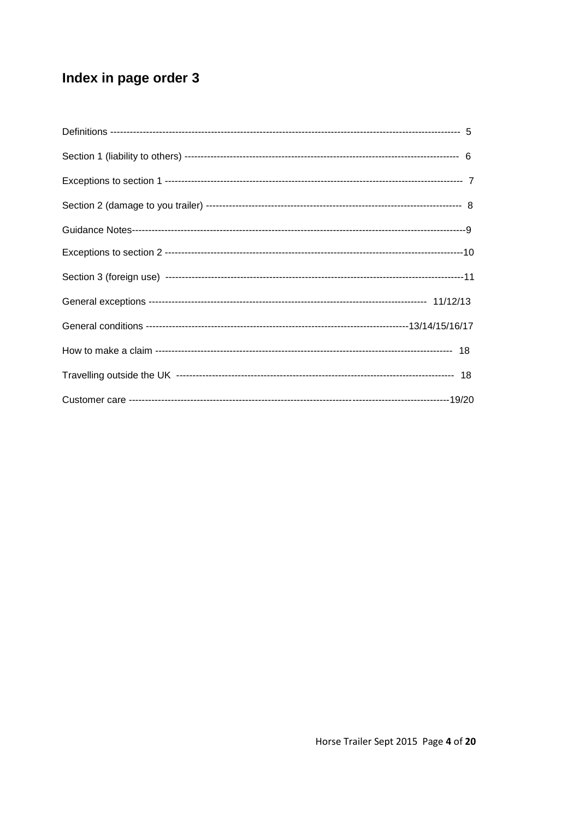## Index in page order 3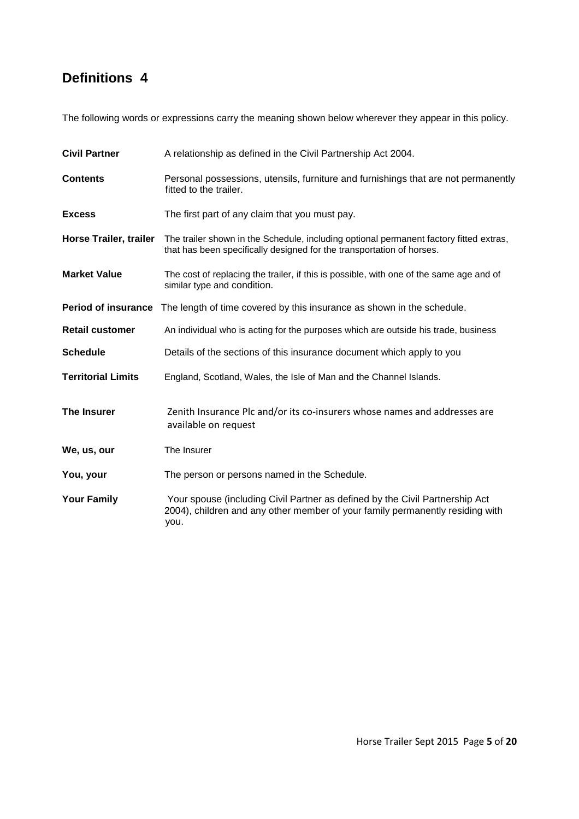## **Definitions 4**

The following words or expressions carry the meaning shown below wherever they appear in this policy.

| <b>Civil Partner</b>          | A relationship as defined in the Civil Partnership Act 2004.                                                                                                          |  |  |
|-------------------------------|-----------------------------------------------------------------------------------------------------------------------------------------------------------------------|--|--|
| <b>Contents</b>               | Personal possessions, utensils, furniture and furnishings that are not permanently<br>fitted to the trailer.                                                          |  |  |
| <b>Excess</b>                 | The first part of any claim that you must pay.                                                                                                                        |  |  |
| <b>Horse Trailer, trailer</b> | The trailer shown in the Schedule, including optional permanent factory fitted extras,<br>that has been specifically designed for the transportation of horses.       |  |  |
| <b>Market Value</b>           | The cost of replacing the trailer, if this is possible, with one of the same age and of<br>similar type and condition.                                                |  |  |
|                               | Period of insurance The length of time covered by this insurance as shown in the schedule.                                                                            |  |  |
| <b>Retail customer</b>        | An individual who is acting for the purposes which are outside his trade, business                                                                                    |  |  |
| <b>Schedule</b>               | Details of the sections of this insurance document which apply to you                                                                                                 |  |  |
| <b>Territorial Limits</b>     | England, Scotland, Wales, the Isle of Man and the Channel Islands.                                                                                                    |  |  |
| <b>The Insurer</b>            | Zenith Insurance Plc and/or its co-insurers whose names and addresses are<br>available on request                                                                     |  |  |
| We, us, our                   | The Insurer                                                                                                                                                           |  |  |
| You, your                     | The person or persons named in the Schedule.                                                                                                                          |  |  |
| <b>Your Family</b>            | Your spouse (including Civil Partner as defined by the Civil Partnership Act<br>2004), children and any other member of your family permanently residing with<br>you. |  |  |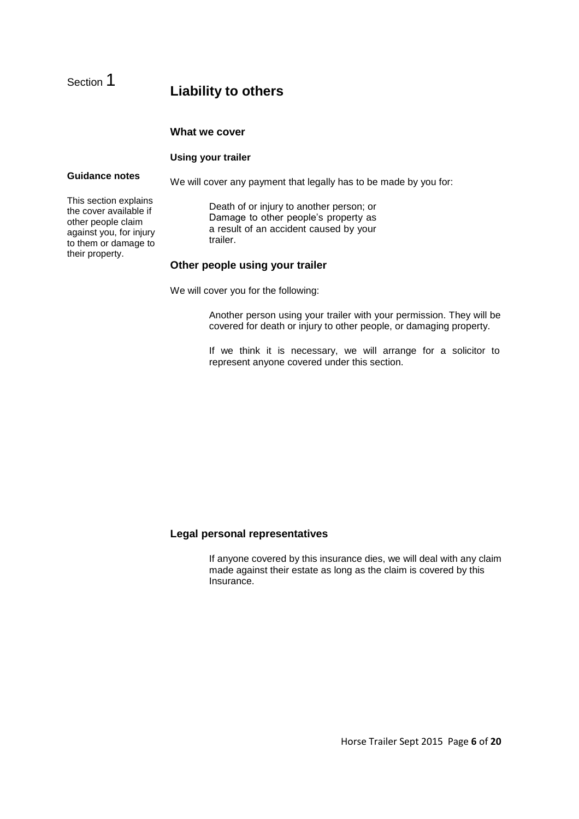## **Liability to others**

#### **What we cover**

#### **Using your trailer**

#### **Guidance notes**

Section 1

We will cover any payment that legally has to be made by you for:

This section explains the cover available if other people claim against you, for injury to them or damage to their property.

Death of or injury to another person; or Damage to other people's property as a result of an accident caused by your trailer.

#### **Other people using your trailer**

We will cover you for the following:

Another person using your trailer with your permission. They will be covered for death or injury to other people, or damaging property.

If we think it is necessary, we will arrange for a solicitor to represent anyone covered under this section.

#### **Legal personal representatives**

If anyone covered by this insurance dies, we will deal with any claim made against their estate as long as the claim is covered by this Insurance.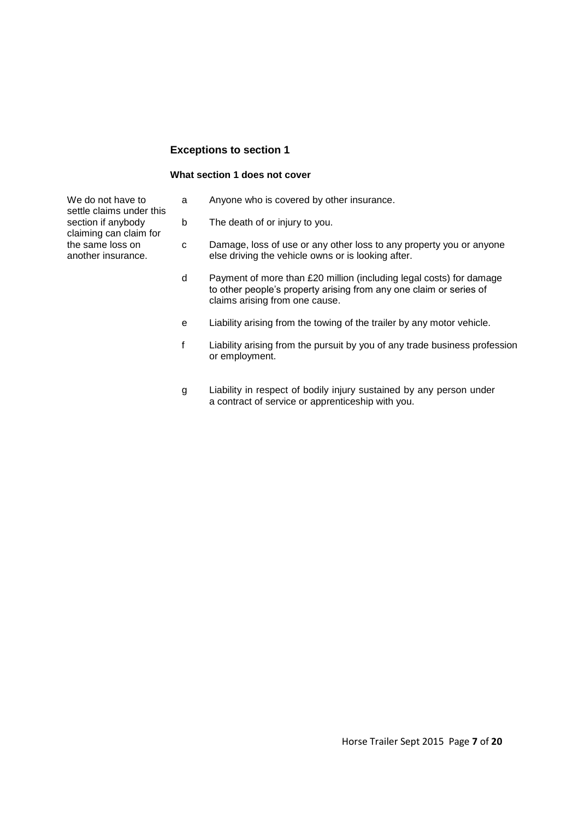#### **Exceptions to section 1**

#### **What section 1 does not cover**

a Anyone who is covered by other insurance.

- b The death of or injury to you.
- c Damage, loss of use or any other loss to any property you or anyone else driving the vehicle owns or is looking after.
- d Payment of more than £20 million (including legal costs) for damage to other people's property arising from any one claim or series of claims arising from one cause.
- e Liability arising from the towing of the trailer by any motor vehicle.
- f Liability arising from the pursuit by you of any trade business profession or employment.
- g Liability in respect of bodily injury sustained by any person under a contract of service or apprenticeship with you.

We do not have to settle claims under this section if anybody claiming can claim for the same loss on another insurance.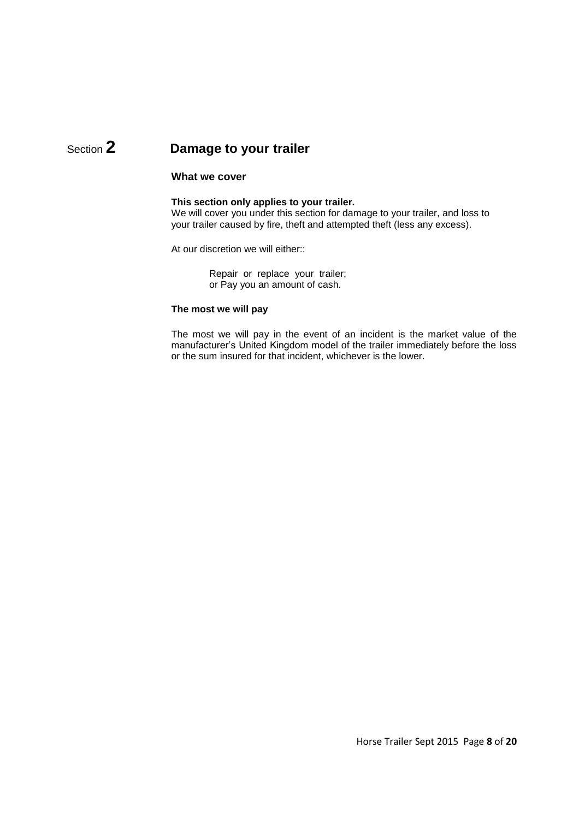## Section **2 Damage to your trailer**

#### **What we cover**

#### **This section only applies to your trailer.**

We will cover you under this section for damage to your trailer, and loss to your trailer caused by fire, theft and attempted theft (less any excess).

At our discretion we will either::

Repair or replace your trailer; or Pay you an amount of cash.

#### **The most we will pay**

The most we will pay in the event of an incident is the market value of the manufacturer's United Kingdom model of the trailer immediately before the loss or the sum insured for that incident, whichever is the lower.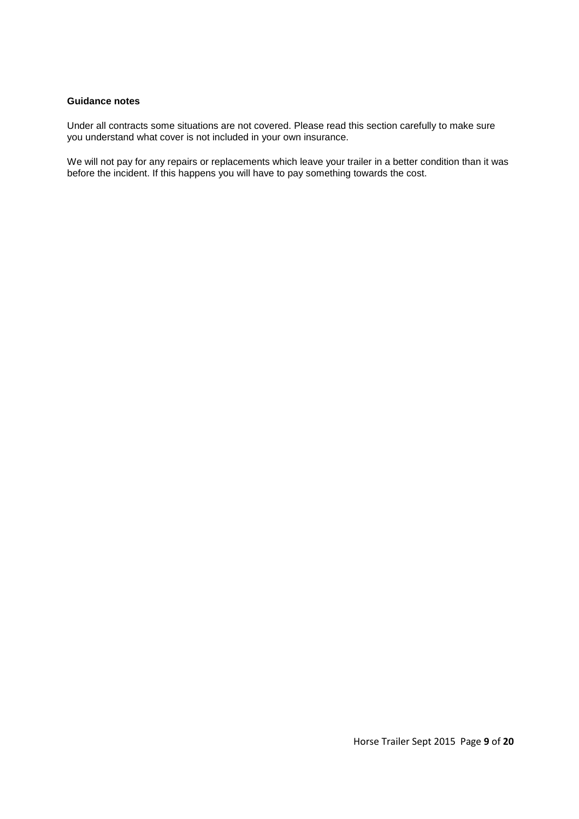#### **Guidance notes**

Under all contracts some situations are not covered. Please read this section carefully to make sure you understand what cover is not included in your own insurance.

We will not pay for any repairs or replacements which leave your trailer in a better condition than it was before the incident. If this happens you will have to pay something towards the cost.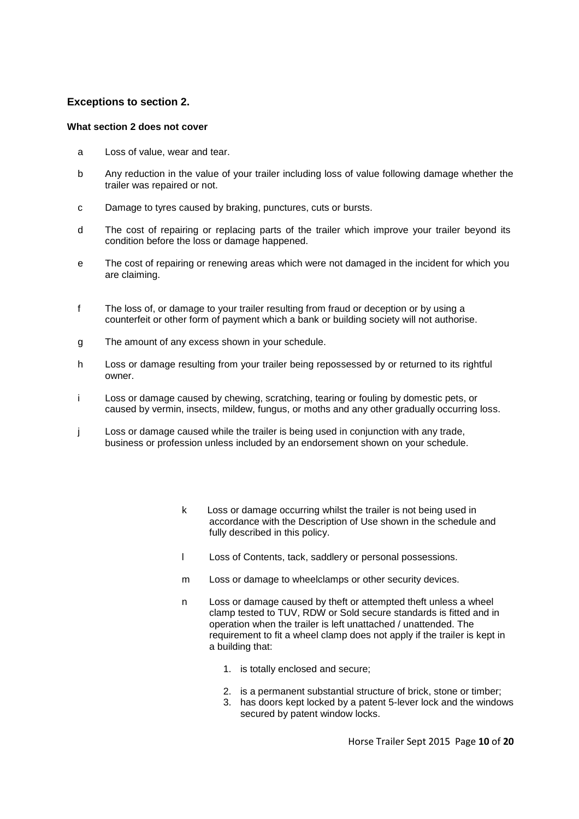#### **Exceptions to section 2.**

#### **What section 2 does not cover**

- a Loss of value, wear and tear.
- b Any reduction in the value of your trailer including loss of value following damage whether the trailer was repaired or not.
- c Damage to tyres caused by braking, punctures, cuts or bursts.
- d The cost of repairing or replacing parts of the trailer which improve your trailer beyond its condition before the loss or damage happened.
- e The cost of repairing or renewing areas which were not damaged in the incident for which you are claiming.
- f The loss of, or damage to your trailer resulting from fraud or deception or by using a counterfeit or other form of payment which a bank or building society will not authorise.
- g The amount of any excess shown in your schedule.
- h Loss or damage resulting from your trailer being repossessed by or returned to its rightful owner.
- i Loss or damage caused by chewing, scratching, tearing or fouling by domestic pets, or caused by vermin, insects, mildew, fungus, or moths and any other gradually occurring loss.
- j Loss or damage caused while the trailer is being used in conjunction with any trade, business or profession unless included by an endorsement shown on your schedule.
	- k Loss or damage occurring whilst the trailer is not being used in accordance with the Description of Use shown in the schedule and fully described in this policy.
	- l Loss of Contents, tack, saddlery or personal possessions.
	- m Loss or damage to wheelclamps or other security devices.
	- n Loss or damage caused by theft or attempted theft unless a wheel clamp tested to TUV, RDW or Sold secure standards is fitted and in operation when the trailer is left unattached / unattended. The requirement to fit a wheel clamp does not apply if the trailer is kept in a building that:
		- 1. is totally enclosed and secure;
		- 2. is a permanent substantial structure of brick, stone or timber;
		- 3. has doors kept locked by a patent 5-lever lock and the windows secured by patent window locks.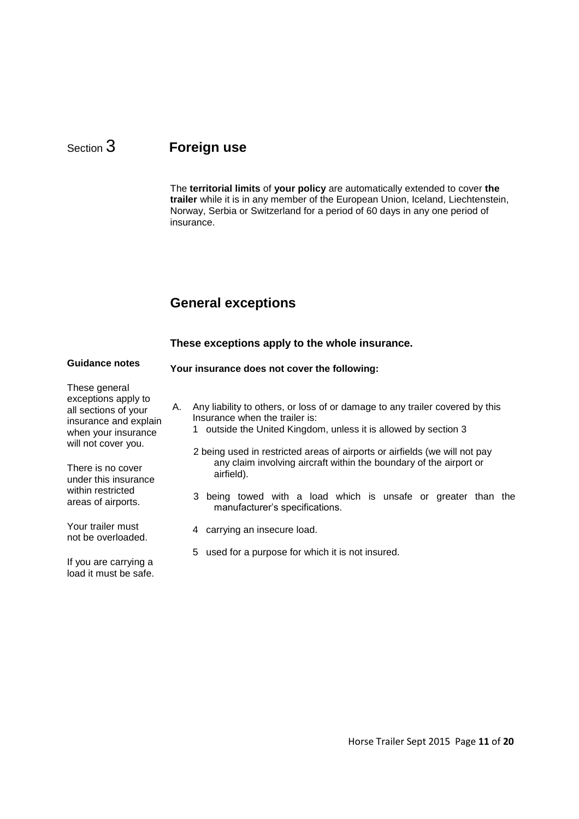## Section 3 **Foreign use**

The **territorial limits** of **your policy** are automatically extended to cover **the trailer** while it is in any member of the European Union, Iceland, Liechtenstein, Norway, Serbia or Switzerland for a period of 60 days in any one period of insurance.

## **General exceptions**

|                                                                                                                                                                                                                             |                                              |   | These exceptions apply to the whole insurance.                                                                                                                                                                                                                                                                                                                                                                                                       |  |
|-----------------------------------------------------------------------------------------------------------------------------------------------------------------------------------------------------------------------------|----------------------------------------------|---|------------------------------------------------------------------------------------------------------------------------------------------------------------------------------------------------------------------------------------------------------------------------------------------------------------------------------------------------------------------------------------------------------------------------------------------------------|--|
| <b>Guidance notes</b>                                                                                                                                                                                                       | Your insurance does not cover the following: |   |                                                                                                                                                                                                                                                                                                                                                                                                                                                      |  |
| These general<br>exceptions apply to<br>all sections of your<br>insurance and explain<br>when your insurance<br>will not cover you.<br>There is no cover<br>under this insurance<br>within restricted<br>areas of airports. | А.                                           | 3 | Any liability to others, or loss of or damage to any trailer covered by this<br>Insurance when the trailer is:<br>1 outside the United Kingdom, unless it is allowed by section 3<br>2 being used in restricted areas of airports or airfields (we will not pay<br>any claim involving aircraft within the boundary of the airport or<br>airfield).<br>being towed with a load which is unsafe or greater than the<br>manufacturer's specifications. |  |
| Your trailer must<br>not be overloaded.                                                                                                                                                                                     |                                              | 4 | carrying an insecure load.                                                                                                                                                                                                                                                                                                                                                                                                                           |  |
| If you are carrying a<br>load it must be safe.                                                                                                                                                                              |                                              | 5 | used for a purpose for which it is not insured.                                                                                                                                                                                                                                                                                                                                                                                                      |  |

Horse Trailer Sept 2015 Page **11** of **20**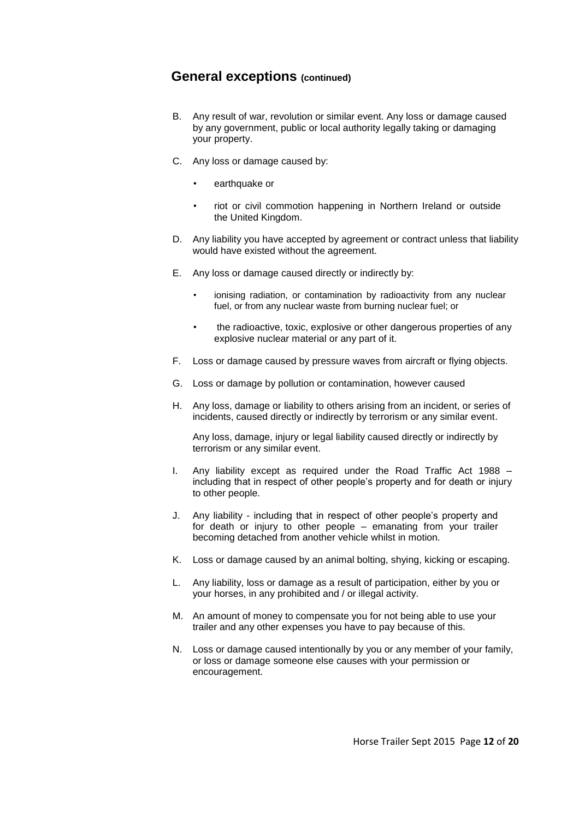#### **General exceptions (continued)**

- B. Any result of war, revolution or similar event. Any loss or damage caused by any government, public or local authority legally taking or damaging your property.
- C. Any loss or damage caused by:
	- earthquake or
	- riot or civil commotion happening in Northern Ireland or outside the United Kingdom.
- D. Any liability you have accepted by agreement or contract unless that liability would have existed without the agreement.
- E. Any loss or damage caused directly or indirectly by:
	- ionising radiation, or contamination by radioactivity from any nuclear fuel, or from any nuclear waste from burning nuclear fuel; or
	- the radioactive, toxic, explosive or other dangerous properties of any explosive nuclear material or any part of it.
- F. Loss or damage caused by pressure waves from aircraft or flying objects.
- G. Loss or damage by pollution or contamination, however caused
- H. Any loss, damage or liability to others arising from an incident, or series of incidents, caused directly or indirectly by terrorism or any similar event.

Any loss, damage, injury or legal liability caused directly or indirectly by terrorism or any similar event.

- I. Any liability except as required under the Road Traffic Act 1988 including that in respect of other people's property and for death or injury to other people.
- J. Any liability including that in respect of other people's property and for death or injury to other people – emanating from your trailer becoming detached from another vehicle whilst in motion.
- K. Loss or damage caused by an animal bolting, shying, kicking or escaping.
- L. Any liability, loss or damage as a result of participation, either by you or your horses, in any prohibited and / or illegal activity.
- M. An amount of money to compensate you for not being able to use your trailer and any other expenses you have to pay because of this.
- N. Loss or damage caused intentionally by you or any member of your family, or loss or damage someone else causes with your permission or encouragement.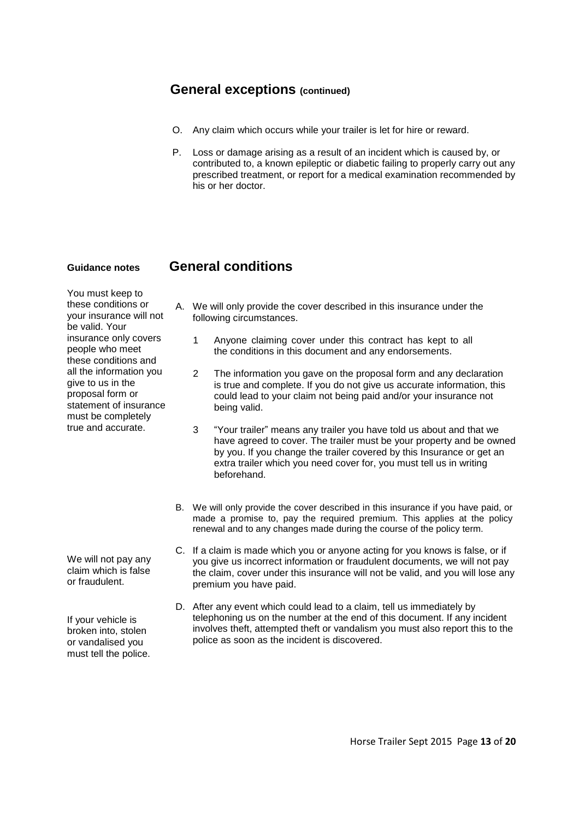#### **General exceptions (continued)**

- O. Any claim which occurs while your trailer is let for hire or reward.
- P. Loss or damage arising as a result of an incident which is caused by, or contributed to, a known epileptic or diabetic failing to properly carry out any prescribed treatment, or report for a medical examination recommended by his or her doctor.

#### **Guidance notes General conditions**

You must keep to these conditions or your insurance will not be valid. Your insurance only covers people who meet these conditions and all the information you give to us in the proposal form or statement of insurance must be completely true and accurate.

We will not pay any claim which is false or fraudulent.

If your vehicle is broken into, stolen or vandalised you must tell the police.

- A. We will only provide the cover described in this insurance under the following circumstances.
	- 1 Anyone claiming cover under this contract has kept to all the conditions in this document and any endorsements.
	- 2 The information you gave on the proposal form and any declaration is true and complete. If you do not give us accurate information, this could lead to your claim not being paid and/or your insurance not being valid.
	- 3 "Your trailer" means any trailer you have told us about and that we have agreed to cover. The trailer must be your property and be owned by you. If you change the trailer covered by this Insurance or get an extra trailer which you need cover for, you must tell us in writing beforehand.
- B. We will only provide the cover described in this insurance if you have paid, or made a promise to, pay the required premium. This applies at the policy renewal and to any changes made during the course of the policy term.
- C. If a claim is made which you or anyone acting for you knows is false, or if you give us incorrect information or fraudulent documents, we will not pay the claim, cover under this insurance will not be valid, and you will lose any premium you have paid.
- D. After any event which could lead to a claim, tell us immediately by telephoning us on the number at the end of this document. If any incident involves theft, attempted theft or vandalism you must also report this to the police as soon as the incident is discovered.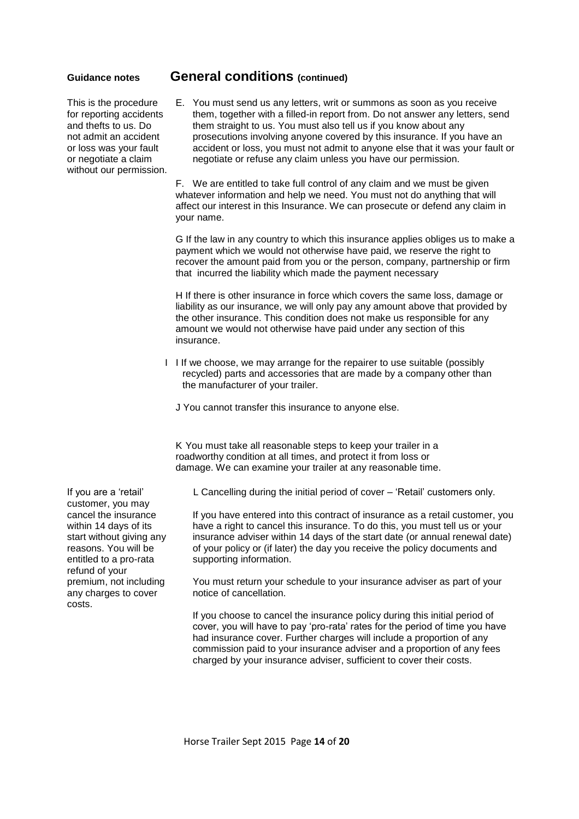This is the procedure for reporting accidents and thefts to us. Do not admit an accident or loss was your fault or negotiate a claim without our permission.

#### **Guidance notes General conditions (continued)**

E. You must send us any letters, writ or summons as soon as you receive them, together with a filled-in report from. Do not answer any letters, send them straight to us. You must also tell us if you know about any prosecutions involving anyone covered by this insurance. If you have an accident or loss, you must not admit to anyone else that it was your fault or negotiate or refuse any claim unless you have our permission.

F. We are entitled to take full control of any claim and we must be given whatever information and help we need. You must not do anything that will affect our interest in this Insurance. We can prosecute or defend any claim in your name.

G If the law in any country to which this insurance applies obliges us to make a payment which we would not otherwise have paid, we reserve the right to recover the amount paid from you or the person, company, partnership or firm that incurred the liability which made the payment necessary

H If there is other insurance in force which covers the same loss, damage or liability as our insurance, we will only pay any amount above that provided by the other insurance. This condition does not make us responsible for any amount we would not otherwise have paid under any section of this insurance.

- I I If we choose, we may arrange for the repairer to use suitable (possibly recycled) parts and accessories that are made by a company other than the manufacturer of your trailer.
	- J You cannot transfer this insurance to anyone else.

K You must take all reasonable steps to keep your trailer in a roadworthy condition at all times, and protect it from loss or damage. We can examine your trailer at any reasonable time.

L Cancelling during the initial period of cover – 'Retail' customers only.

If you have entered into this contract of insurance as a retail customer, you have a right to cancel this insurance. To do this, you must tell us or your insurance adviser within 14 days of the start date (or annual renewal date) of your policy or (if later) the day you receive the policy documents and supporting information.

You must return your schedule to your insurance adviser as part of your notice of cancellation.

If you choose to cancel the insurance policy during this initial period of cover, you will have to pay 'pro-rata' rates for the period of time you have had insurance cover. Further charges will include a proportion of any commission paid to your insurance adviser and a proportion of any fees charged by your insurance adviser, sufficient to cover their costs.

If you are a 'retail' customer, you may cancel the insurance within 14 days of its start without giving any reasons. You will be entitled to a pro-rata refund of your premium, not including any charges to cover costs.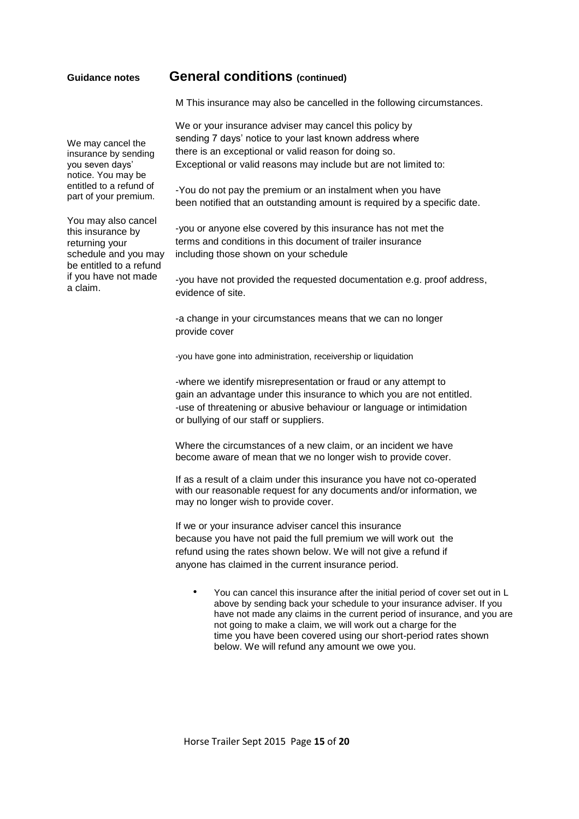#### **Guidance notes General conditions (continued)**

M This insurance may also be cancelled in the following circumstances.

We or your insurance adviser may cancel this policy by sending 7 days' notice to your last known address where there is an exceptional or valid reason for doing so. Exceptional or valid reasons may include but are not limited to:

-You do not pay the premium or an instalment when you have been notified that an outstanding amount is required by a specific date.

-you or anyone else covered by this insurance has not met the terms and conditions in this document of trailer insurance including those shown on your schedule

-you have not provided the requested documentation e.g. proof address, evidence of site.

-a change in your circumstances means that we can no longer provide cover

-you have gone into administration, receivership or liquidation

-where we identify misrepresentation or fraud or any attempt to gain an advantage under this insurance to which you are not entitled. -use of threatening or abusive behaviour or language or intimidation or bullying of our staff or suppliers.

Where the circumstances of a new claim, or an incident we have become aware of mean that we no longer wish to provide cover.

If as a result of a claim under this insurance you have not co-operated with our reasonable request for any documents and/or information, we may no longer wish to provide cover.

If we or your insurance adviser cancel this insurance because you have not paid the full premium we will work out the refund using the rates shown below. We will not give a refund if anyone has claimed in the current insurance period.

• You can cancel this insurance after the initial period of cover set out in L above by sending back your schedule to your insurance adviser. If you have not made any claims in the current period of insurance, and you are not going to make a claim, we will work out a charge for the time you have been covered using our short-period rates shown below. We will refund any amount we owe you.

We may cancel the insurance by sending you seven days' notice. You may be entitled to a refund of part of your premium.

You may also cancel this insurance by returning your schedule and you may be entitled to a refund if you have not made a claim.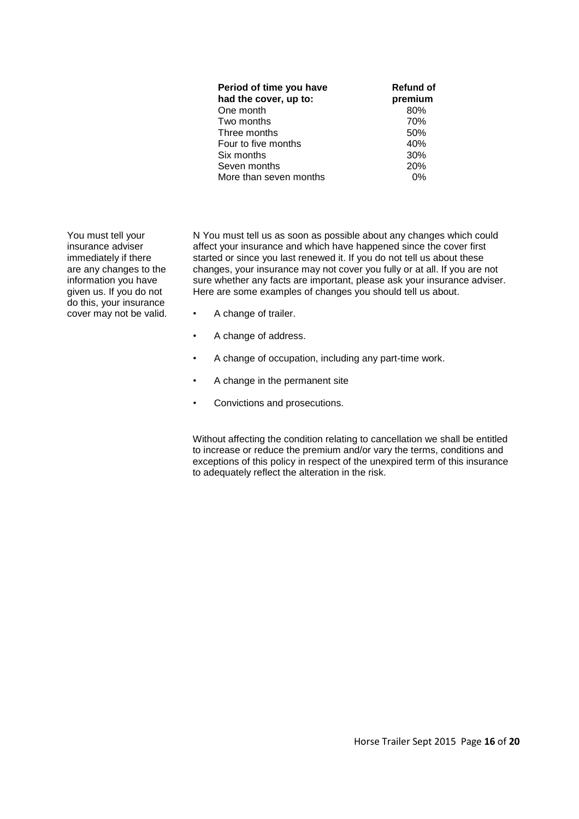| <b>Refund of</b><br>premium |
|-----------------------------|
| 80%                         |
| 70%                         |
| 50%                         |
| 40%                         |
| 30%                         |
| 20%                         |
| ሰ%                          |
|                             |

You must tell your insurance adviser immediately if there are any changes to the information you have given us. If you do not do this, your insurance cover may not be valid.

N You must tell us as soon as possible about any changes which could affect your insurance and which have happened since the cover first started or since you last renewed it. If you do not tell us about these changes, your insurance may not cover you fully or at all. If you are not sure whether any facts are important, please ask your insurance adviser. Here are some examples of changes you should tell us about.

- A change of trailer.
- A change of address.
- A change of occupation, including any part-time work.
- A change in the permanent site
- Convictions and prosecutions.

Without affecting the condition relating to cancellation we shall be entitled to increase or reduce the premium and/or vary the terms, conditions and exceptions of this policy in respect of the unexpired term of this insurance to adequately reflect the alteration in the risk.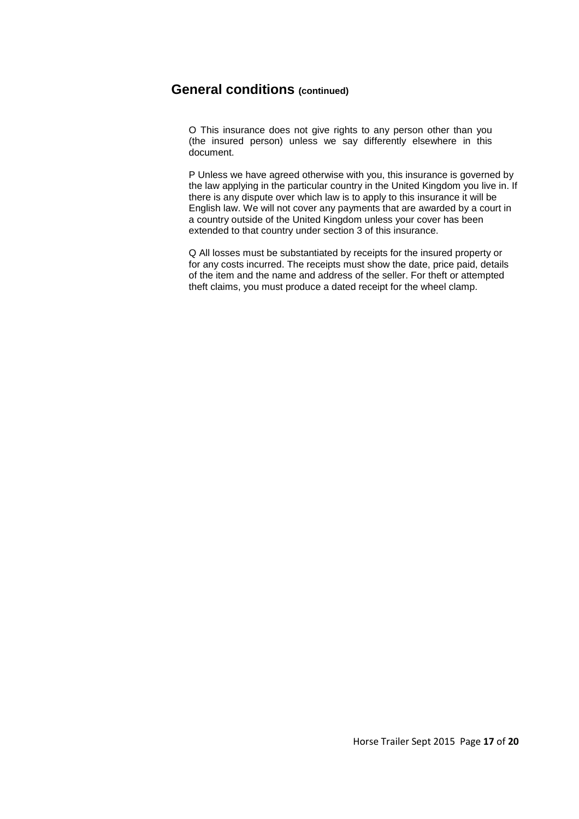### **General conditions (continued)**

O This insurance does not give rights to any person other than you (the insured person) unless we say differently elsewhere in this document.

P Unless we have agreed otherwise with you, this insurance is governed by the law applying in the particular country in the United Kingdom you live in. If there is any dispute over which law is to apply to this insurance it will be English law. We will not cover any payments that are awarded by a court in a country outside of the United Kingdom unless your cover has been extended to that country under section 3 of this insurance.

Q All losses must be substantiated by receipts for the insured property or for any costs incurred. The receipts must show the date, price paid, details of the item and the name and address of the seller. For theft or attempted theft claims, you must produce a dated receipt for the wheel clamp.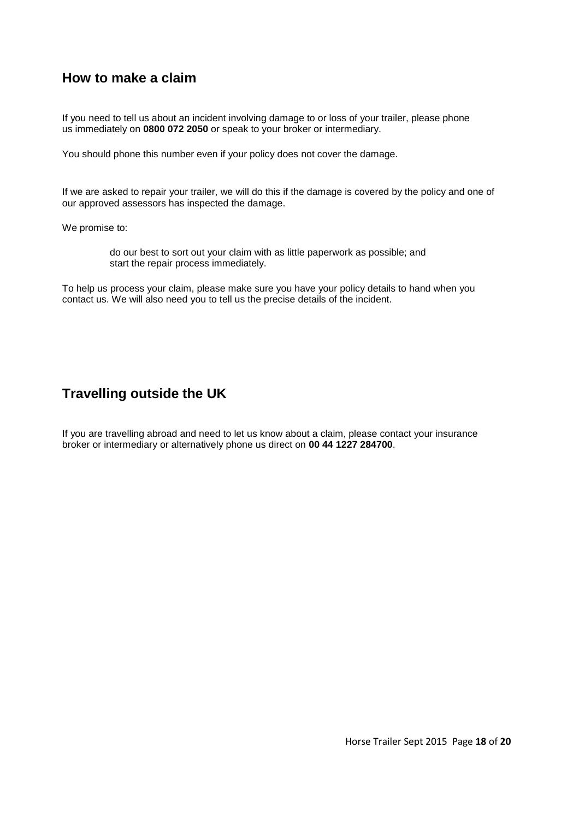### **How to make a claim**

If you need to tell us about an incident involving damage to or loss of your trailer, please phone us immediately on **0800 072 2050** or speak to your broker or intermediary.

You should phone this number even if your policy does not cover the damage.

If we are asked to repair your trailer, we will do this if the damage is covered by the policy and one of our approved assessors has inspected the damage.

We promise to:

do our best to sort out your claim with as little paperwork as possible; and start the repair process immediately.

To help us process your claim, please make sure you have your policy details to hand when you contact us. We will also need you to tell us the precise details of the incident.

### **Travelling outside the UK**

If you are travelling abroad and need to let us know about a claim, please contact your insurance broker or intermediary or alternatively phone us direct on **00 44 1227 284700**.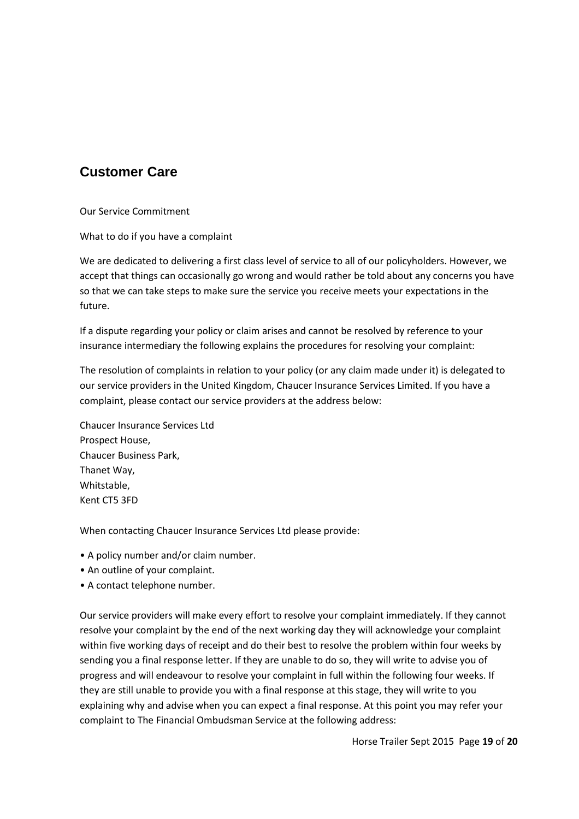## **Customer Care**

Our Service Commitment

What to do if you have a complaint

We are dedicated to delivering a first class level of service to all of our policyholders. However, we accept that things can occasionally go wrong and would rather be told about any concerns you have so that we can take steps to make sure the service you receive meets your expectations in the future.

If a dispute regarding your policy or claim arises and cannot be resolved by reference to your insurance intermediary the following explains the procedures for resolving your complaint:

The resolution of complaints in relation to your policy (or any claim made under it) is delegated to our service providers in the United Kingdom, Chaucer Insurance Services Limited. If you have a complaint, please contact our service providers at the address below:

Chaucer Insurance Services Ltd Prospect House, Chaucer Business Park, Thanet Way, Whitstable, Kent CT5 3FD

When contacting Chaucer Insurance Services Ltd please provide:

- A policy number and/or claim number.
- An outline of your complaint.
- A contact telephone number.

Our service providers will make every effort to resolve your complaint immediately. If they cannot resolve your complaint by the end of the next working day they will acknowledge your complaint within five working days of receipt and do their best to resolve the problem within four weeks by sending you a final response letter. If they are unable to do so, they will write to advise you of progress and will endeavour to resolve your complaint in full within the following four weeks. If they are still unable to provide you with a final response at this stage, they will write to you explaining why and advise when you can expect a final response. At this point you may refer your complaint to The Financial Ombudsman Service at the following address: